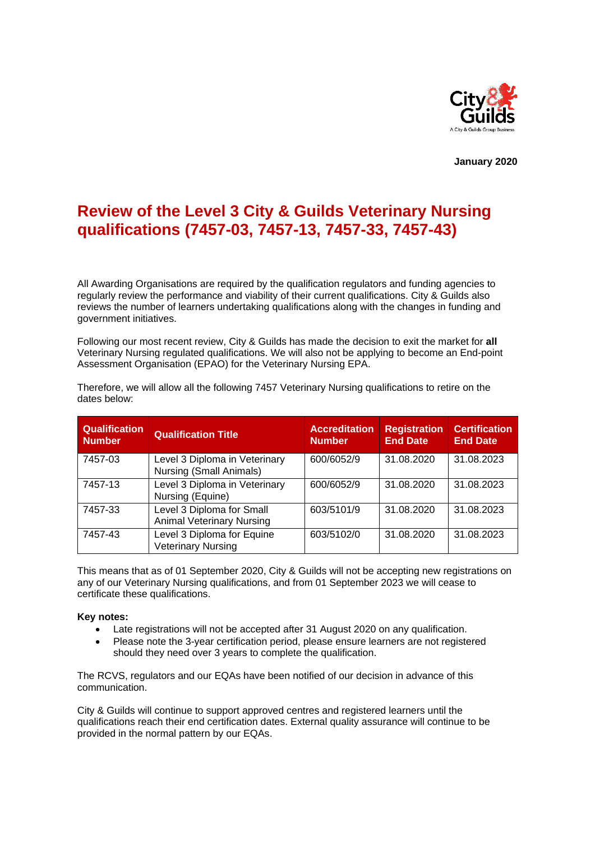

**January 2020**

# **Review of the Level 3 City & Guilds Veterinary Nursing qualifications (7457-03, 7457-13, 7457-33, 7457-43)**

All Awarding Organisations are required by the qualification regulators and funding agencies to regularly review the performance and viability of their current qualifications. City & Guilds also reviews the number of learners undertaking qualifications along with the changes in funding and government initiatives.

Following our most recent review, City & Guilds has made the decision to exit the market for **all** Veterinary Nursing regulated qualifications. We will also not be applying to become an End-point Assessment Organisation (EPAO) for the Veterinary Nursing EPA.

| <b>Qualification</b><br><b>Number</b> | <b>Qualification Title</b>                                    | <b>Accreditation</b><br><b>Number</b> | <b>Registration</b><br><b>End Date</b> | <b>Certification</b><br><b>End Date</b> |
|---------------------------------------|---------------------------------------------------------------|---------------------------------------|----------------------------------------|-----------------------------------------|
| 7457-03                               | Level 3 Diploma in Veterinary<br>Nursing (Small Animals)      | 600/6052/9                            | 31.08.2020                             | 31.08.2023                              |
| 7457-13                               | Level 3 Diploma in Veterinary<br>Nursing (Equine)             | 600/6052/9                            | 31.08.2020                             | 31.08.2023                              |
| 7457-33                               | Level 3 Diploma for Small<br><b>Animal Veterinary Nursing</b> | 603/5101/9                            | 31.08.2020                             | 31.08.2023                              |
| 7457-43                               | Level 3 Diploma for Equine<br><b>Veterinary Nursing</b>       | 603/5102/0                            | 31.08.2020                             | 31.08.2023                              |

Therefore, we will allow all the following 7457 Veterinary Nursing qualifications to retire on the dates below:

This means that as of 01 September 2020, City & Guilds will not be accepting new registrations on any of our Veterinary Nursing qualifications, and from 01 September 2023 we will cease to certificate these qualifications.

# **Key notes:**

- Late registrations will not be accepted after 31 August 2020 on any qualification.
- Please note the 3-year certification period, please ensure learners are not registered should they need over 3 years to complete the qualification.

The RCVS, regulators and our EQAs have been notified of our decision in advance of this communication.

City & Guilds will continue to support approved centres and registered learners until the qualifications reach their end certification dates. External quality assurance will continue to be provided in the normal pattern by our EQAs.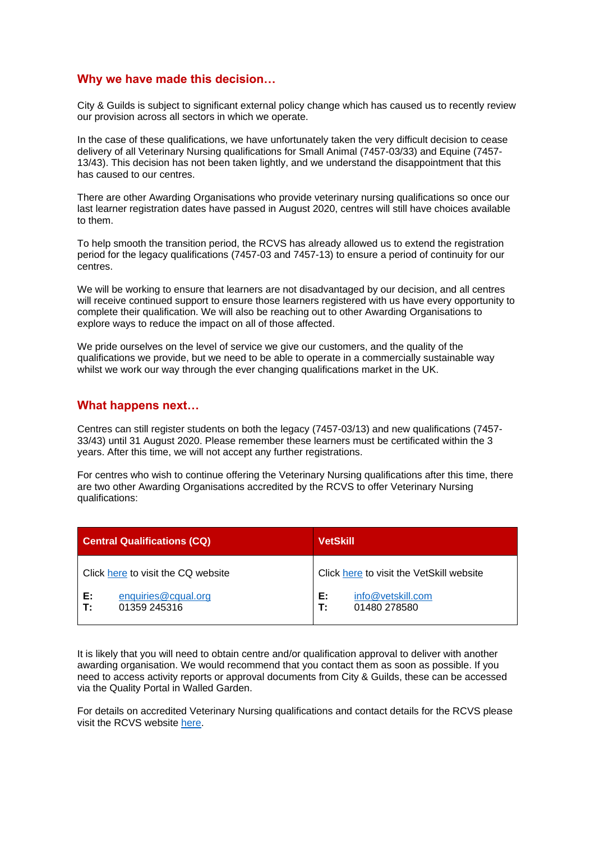# **Why we have made this decision…**

City & Guilds is subject to significant external policy change which has caused us to recently review our provision across all sectors in which we operate.

In the case of these qualifications, we have unfortunately taken the very difficult decision to cease delivery of all Veterinary Nursing qualifications for Small Animal (7457-03/33) and Equine (7457- 13/43). This decision has not been taken lightly, and we understand the disappointment that this has caused to our centres.

There are other Awarding Organisations who provide veterinary nursing qualifications so once our last learner registration dates have passed in August 2020, centres will still have choices available to them.

To help smooth the transition period, the RCVS has already allowed us to extend the registration period for the legacy qualifications (7457-03 and 7457-13) to ensure a period of continuity for our centres.

We will be working to ensure that learners are not disadvantaged by our decision, and all centres will receive continued support to ensure those learners registered with us have every opportunity to complete their qualification. We will also be reaching out to other Awarding Organisations to explore ways to reduce the impact on all of those affected.

We pride ourselves on the level of service we give our customers, and the quality of the qualifications we provide, but we need to be able to operate in a commercially sustainable way whilst we work our way through the ever changing qualifications market in the UK.

# **What happens next…**

Centres can still register students on both the legacy (7457-03/13) and new qualifications (7457- 33/43) until 31 August 2020. Please remember these learners must be certificated within the 3 years. After this time, we will not accept any further registrations.

For centres who wish to continue offering the Veterinary Nursing qualifications after this time, there are two other Awarding Organisations accredited by the RCVS to offer Veterinary Nursing qualifications:

| <b>Central Qualifications (CQ)</b>              | <b>VetSkill</b>                               |  |
|-------------------------------------------------|-----------------------------------------------|--|
| Click here to visit the CQ website              | Click here to visit the VetSkill website      |  |
| enquiries@cqual.org<br>Е:<br>T:<br>01359 245316 | E:<br>info@vetskill.com<br>T:<br>01480 278580 |  |

It is likely that you will need to obtain centre and/or qualification approval to deliver with another awarding organisation. We would recommend that you contact them as soon as possible. If you need to access activity reports or approval documents from City & Guilds, these can be accessed via the Quality Portal in Walled Garden.

For details on accredited Veterinary Nursing qualifications and contact details for the RCVS please visit the RCVS website [here.](https://www.rcvs.org.uk/who-we-are/contact-us/)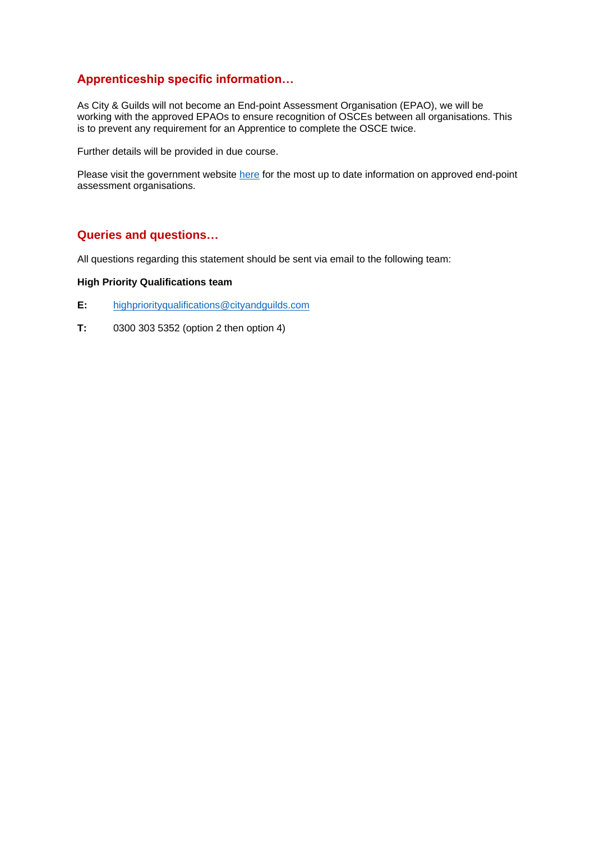# **Apprenticeship specific information…**

As City & Guilds will not become an End-point Assessment Organisation (EPAO), we will be working with the approved EPAOs to ensure recognition of OSCEs between all organisations. This is to prevent any requirement for an Apprentice to complete the OSCE twice.

Further details will be provided in due course.

Please visit the government website [here](https://www.gov.uk/guidance/register-of-end-point-assessment-organisations) for the most up to date information on approved end-point assessment organisations.

# **Queries and questions…**

All questions regarding this statement should be sent via email to the following team:

# **High Priority Qualifications team**

- **E:** [highpriorityqualifications@cityandguilds.com](mailto:highpriorityqualifications@cityandguilds.com)
- **T:** 0300 303 5352 (option 2 then option 4)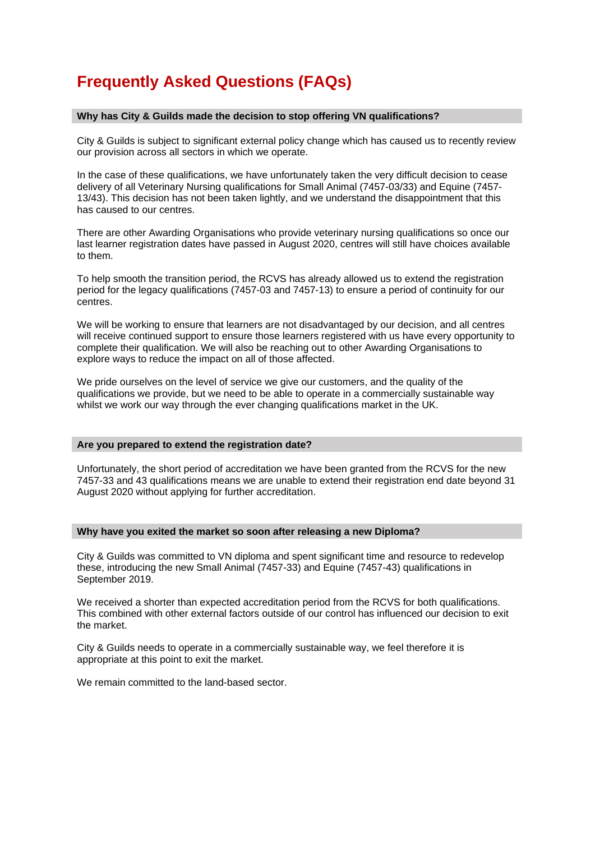# **Frequently Asked Questions (FAQs)**

# **Why has City & Guilds made the decision to stop offering VN qualifications?**

City & Guilds is subject to significant external policy change which has caused us to recently review our provision across all sectors in which we operate.

In the case of these qualifications, we have unfortunately taken the very difficult decision to cease delivery of all Veterinary Nursing qualifications for Small Animal (7457-03/33) and Equine (7457- 13/43). This decision has not been taken lightly, and we understand the disappointment that this has caused to our centres.

There are other Awarding Organisations who provide veterinary nursing qualifications so once our last learner registration dates have passed in August 2020, centres will still have choices available to them.

To help smooth the transition period, the RCVS has already allowed us to extend the registration period for the legacy qualifications (7457-03 and 7457-13) to ensure a period of continuity for our centres.

We will be working to ensure that learners are not disadvantaged by our decision, and all centres will receive continued support to ensure those learners registered with us have every opportunity to complete their qualification. We will also be reaching out to other Awarding Organisations to explore ways to reduce the impact on all of those affected.

We pride ourselves on the level of service we give our customers, and the quality of the qualifications we provide, but we need to be able to operate in a commercially sustainable way whilst we work our way through the ever changing qualifications market in the UK.

# **Are you prepared to extend the registration date?**

Unfortunately, the short period of accreditation we have been granted from the RCVS for the new 7457-33 and 43 qualifications means we are unable to extend their registration end date beyond 31 August 2020 without applying for further accreditation.

# **Why have you exited the market so soon after releasing a new Diploma?**

City & Guilds was committed to VN diploma and spent significant time and resource to redevelop these, introducing the new Small Animal (7457-33) and Equine (7457-43) qualifications in September 2019.

We received a shorter than expected accreditation period from the RCVS for both qualifications. This combined with other external factors outside of our control has influenced our decision to exit the market.

City & Guilds needs to operate in a commercially sustainable way, we feel therefore it is appropriate at this point to exit the market.

We remain committed to the land-based sector.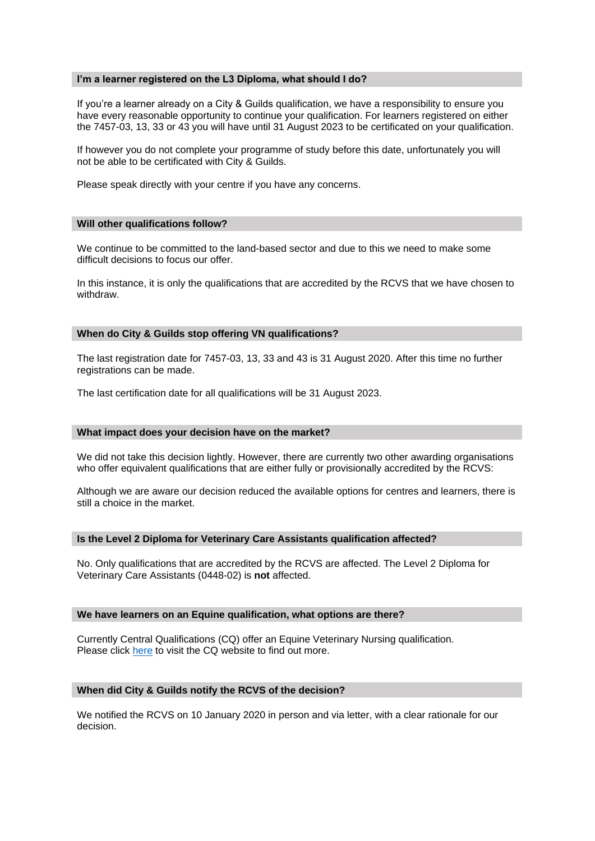#### **I'm a learner registered on the L3 Diploma, what should I do?**

If you're a learner already on a City & Guilds qualification, we have a responsibility to ensure you have every reasonable opportunity to continue your qualification. For learners registered on either the 7457-03, 13, 33 or 43 you will have until 31 August 2023 to be certificated on your qualification.

If however you do not complete your programme of study before this date, unfortunately you will not be able to be certificated with City & Guilds.

Please speak directly with your centre if you have any concerns.

#### **Will other qualifications follow?**

We continue to be committed to the land-based sector and due to this we need to make some difficult decisions to focus our offer.

In this instance, it is only the qualifications that are accredited by the RCVS that we have chosen to withdraw.

# **When do City & Guilds stop offering VN qualifications?**

The last registration date for 7457-03, 13, 33 and 43 is 31 August 2020. After this time no further registrations can be made.

The last certification date for all qualifications will be 31 August 2023.

#### **What impact does your decision have on the market?**

We did not take this decision lightly. However, there are currently two other awarding organisations who offer equivalent qualifications that are either fully or provisionally accredited by the RCVS:

Although we are aware our decision reduced the available options for centres and learners, there is still a choice in the market.

#### **Is the Level 2 Diploma for Veterinary Care Assistants qualification affected?**

No. Only qualifications that are accredited by the RCVS are affected. The Level 2 Diploma for Veterinary Care Assistants (0448-02) is **not** affected.

## **We have learners on an Equine qualification, what options are there?**

Currently Central Qualifications (CQ) offer an Equine Veterinary Nursing qualification. Please click [here](https://www.cqual.org/cq-en/cqdipevn.php) to visit the CQ website to find out more.

# **When did City & Guilds notify the RCVS of the decision?**

We notified the RCVS on 10 January 2020 in person and via letter, with a clear rationale for our decision.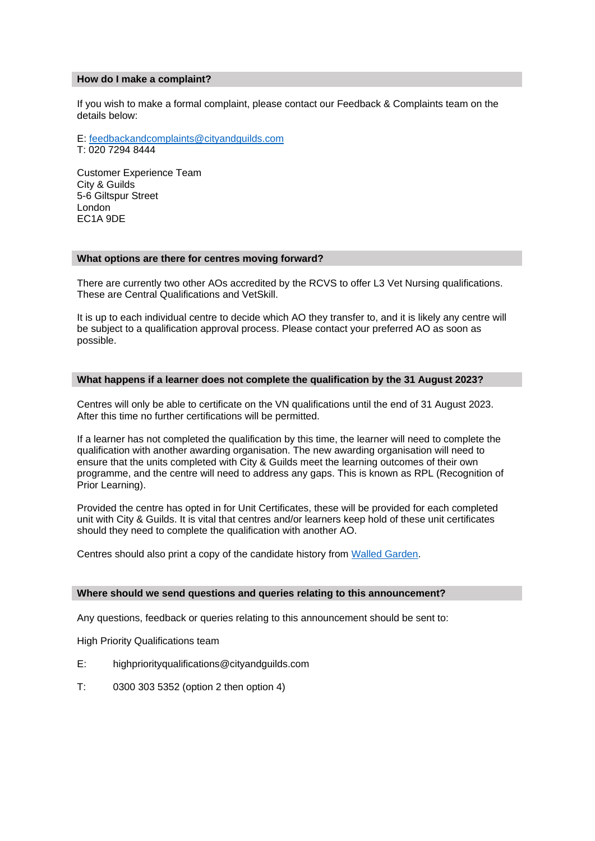#### **How do I make a complaint?**

If you wish to make a formal complaint, please contact our Feedback & Complaints team on the details below:

# E: [feedbackandcomplaints@cityandguilds.com](mailto:feedbackandcomplaints@cityandguilds.com)

T: 020 7294 8444

Customer Experience Team City & Guilds 5-6 Giltspur Street London EC1A 9DE

# **What options are there for centres moving forward?**

There are currently two other AOs accredited by the RCVS to offer L3 Vet Nursing qualifications. These are Central Qualifications and VetSkill.

It is up to each individual centre to decide which AO they transfer to, and it is likely any centre will be subject to a qualification approval process. Please contact your preferred AO as soon as possible.

# **What happens if a learner does not complete the qualification by the 31 August 2023?**

Centres will only be able to certificate on the VN qualifications until the end of 31 August 2023. After this time no further certifications will be permitted.

If a learner has not completed the qualification by this time, the learner will need to complete the qualification with another awarding organisation. The new awarding organisation will need to ensure that the units completed with City & Guilds meet the learning outcomes of their own programme, and the centre will need to address any gaps. This is known as RPL (Recognition of Prior Learning).

Provided the centre has opted in for Unit Certificates, these will be provided for each completed unit with City & Guilds. It is vital that centres and/or learners keep hold of these unit certificates should they need to complete the qualification with another AO.

Centres should also print a copy of the candidate history from [Walled Garden.](https://www.walled-garden.com/)

# **Where should we send questions and queries relating to this announcement?**

Any questions, feedback or queries relating to this announcement should be sent to:

High Priority Qualifications team

- E: highpriorityqualifications@cityandguilds.com
- T: 0300 303 5352 (option 2 then option 4)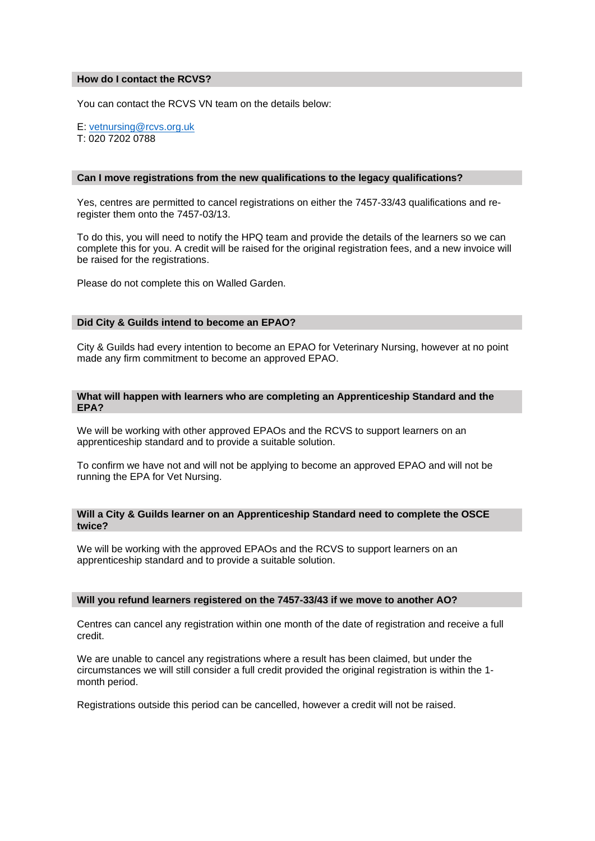# **How do I contact the RCVS?**

You can contact the RCVS VN team on the details below:

E: [vetnursing@rcvs.org.uk](mailto:vetnursing@rcvs.org.uk) T: 020 7202 0788

## **Can I move registrations from the new qualifications to the legacy qualifications?**

Yes, centres are permitted to cancel registrations on either the 7457-33/43 qualifications and reregister them onto the 7457-03/13.

To do this, you will need to notify the HPQ team and provide the details of the learners so we can complete this for you. A credit will be raised for the original registration fees, and a new invoice will be raised for the registrations.

Please do not complete this on Walled Garden.

# **Did City & Guilds intend to become an EPAO?**

City & Guilds had every intention to become an EPAO for Veterinary Nursing, however at no point made any firm commitment to become an approved EPAO.

## **What will happen with learners who are completing an Apprenticeship Standard and the EPA?**

We will be working with other approved EPAOs and the RCVS to support learners on an apprenticeship standard and to provide a suitable solution.

To confirm we have not and will not be applying to become an approved EPAO and will not be running the EPA for Vet Nursing.

#### **Will a City & Guilds learner on an Apprenticeship Standard need to complete the OSCE twice?**

We will be working with the approved EPAOs and the RCVS to support learners on an apprenticeship standard and to provide a suitable solution.

#### **Will you refund learners registered on the 7457-33/43 if we move to another AO?**

Centres can cancel any registration within one month of the date of registration and receive a full credit.

We are unable to cancel any registrations where a result has been claimed, but under the circumstances we will still consider a full credit provided the original registration is within the 1 month period.

Registrations outside this period can be cancelled, however a credit will not be raised.